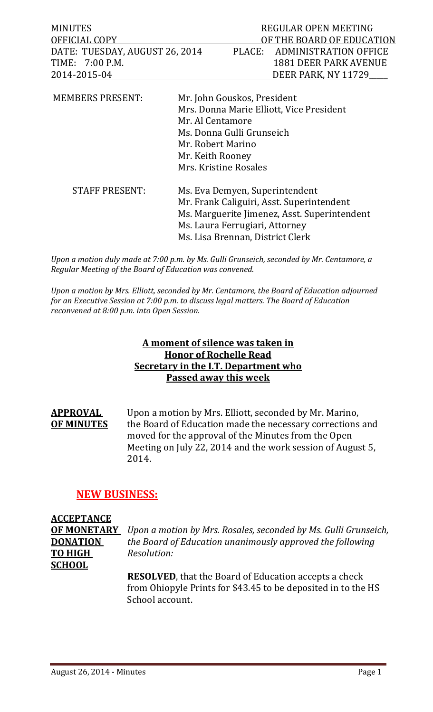MINUTES REGULAR OPEN MEETING OFFICIAL COPY DERITHE BOARD OF EDUCATION DATE: TUESDAY, AUGUST 26, 2014 PLACE: ADMINISTRATION OFFICE TIME: 7:00 P.M. 200 P.M. 2014‐2015‐04 DEER PARK, NY 11729\_\_\_\_\_ 

| <b>MEMBERS PRESENT:</b> | Mr. John Gouskos, President                  |  |
|-------------------------|----------------------------------------------|--|
|                         | Mrs. Donna Marie Elliott, Vice President     |  |
|                         | Mr. Al Centamore                             |  |
|                         | Ms. Donna Gulli Grunseich                    |  |
|                         | Mr. Robert Marino                            |  |
|                         | Mr. Keith Rooney                             |  |
|                         | Mrs. Kristine Rosales                        |  |
| <b>STAFF PRESENT:</b>   | Ms. Eva Demyen, Superintendent               |  |
|                         | Mr. Frank Caliguiri, Asst. Superintendent    |  |
|                         | Ms. Marguerite Jimenez, Asst. Superintendent |  |
|                         | Ms. Laura Ferrugiari, Attorney               |  |
|                         | Ms. Lisa Brennan, District Clerk             |  |

*Upon a motion duly made at 7:00 p.m. by Ms. Gulli Grunseich, seconded by Mr. Centamore, a Regular Meeting of the Board of Education was convened.* 

*Upon a motion by Mrs. Elliott, seconded by Mr. Centamore, the Board of Education adjourned for an Executive Session at 7:00 p.m. to discuss legal matters. The Board of Education reconvened at 8:00 p.m. into Open Session.*

# **A moment of silence was taken in Honor of Rochelle Read Secretary in the I.T. Department who Passed away this week**

**APPROVAL** Upon a motion by Mrs. Elliott, seconded by Mr. Marino, **OF MINUTES** the Board of Education made the necessary corrections and moved for the approval of the Minutes from the Open Meeting on July 22, 2014 and the work session of August 5, 2014. 

# **NEW BUSINESS:**

# **ACCEPTANCE TO HIGH** *Resolution:* **SCHOOL**

**OF MONETARY** *Upon a motion by Mrs. Rosales, seconded by Ms. Gulli Grunseich,* **DONATION** *the Board of Education unanimously approved the following*

> **RESOLVED**, that the Board of Education accepts a check from Ohiopyle Prints for \$43.45 to be deposited in to the HS School account.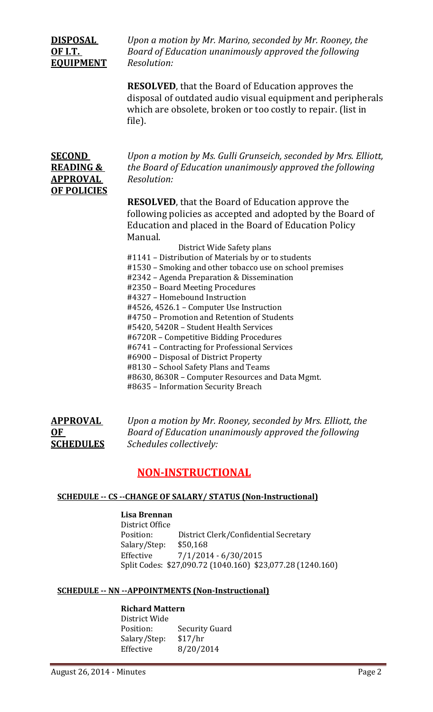# **EQUIPMENT** *Resolution:*

**<u>DISPOSAL</u>** *Upon a* motion by Mr. Marino, seconded by Mr. Rooney, the **<u>OF I.T.</u>** Board of Education *unanimously* approved the following

> **RESOLVED**, that the Board of Education approves the disposal of outdated audio visual equipment and peripherals which are obsolete, broken or too costly to repair. (list in file).

| <b>SECOND</b>        |
|----------------------|
| <b>READING &amp;</b> |
| <b>APPROVAL</b>      |
| <b>OF POLICIES</b>   |

*Upon* a motion by Ms. Gulli Grunseich, seconded by Mrs. Elliott, *the Board of Education unanimously approved the following*  $Resolution:$ 

**RESOLVED**, that the Board of Education approve the following policies as accepted and adopted by the Board of Education and placed in the Board of Education Policy Manual. 

District Wide Safety plans #1141 - Distribution of Materials by or to students #1530 – Smoking and other tobacco use on school premises #2342 – Agenda Preparation & Dissemination #2350 - Board Meeting Procedures #4327 - Homebound Instruction #4526, 4526.1 - Computer Use Instruction #4750 – Promotion and Retention of Students #5420, 5420R - Student Health Services #6720R - Competitive Bidding Procedures #6741 - Contracting for Professional Services #6900 - Disposal of District Property #8130 - School Safety Plans and Teams #8630, 8630R - Computer Resources and Data Mgmt. #8635 - Information Security Breach

| <b>APPROVAL</b>  |  |
|------------------|--|
| OF               |  |
| <b>SCHEDULES</b> |  |

**APPROVAL** *Upon a motion by Mr. Rooney, seconded by Mrs. Elliott, the* **Board** of Education unanimously approved the following  $S$ *chedules collectively:* 

# **NON‐INSTRUCTIONAL**

#### **SCHEDULE ‐‐ CS ‐‐CHANGE OF SALARY/ STATUS (Non‐Instructional)**

**Lisa Brennan** District Office Position: District Clerk/Confidential Secretary Salary/Step: \$50,168 Effective  $7/1/2014 - 6/30/2015$ Split Codes: \$27,090.72 (1040.160) \$23,077.28 (1240.160)

#### **SCHEDULE ‐‐ NN ‐‐APPOINTMENTS (Non‐Instructional)**

# **Richard Mattern**

District Wide Position: Security Guard Salary/Step: \$17/hr Effective 8/20/2014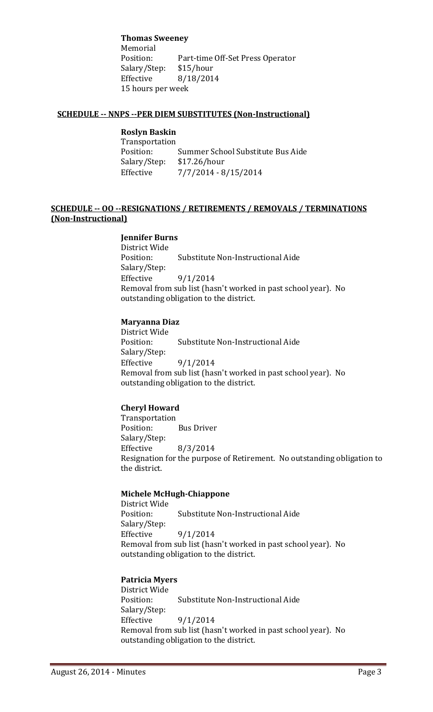**Thomas Sweeney**

Memorial<br>Position: Part-time Off-Set Press Operator Salary/Step: \$15/hour Effective 8/18/2014 15 hours per week

#### **SCHEDULE ‐‐ NNPS ‐‐PER DIEM SUBSTITUTES (Non‐Instructional)**

# **Roslyn Baskin**

 Transportation Position: Summer School Substitute Bus Aide Salary/Step: \$17.26/hour Effective  $\frac{7}{7}{2014 - 8}{15}{2014}$ 

#### **SCHEDULE ‐‐ OO ‐‐RESIGNATIONS / RETIREMENTS / REMOVALS / TERMINATIONS (Non‐Instructional)**

#### **Jennifer Burns**

District Wide Position: Substitute Non-Instructional Aide Salary/Step: Effective  $9/1/2014$ Removal from sub list (hasn't worked in past school year). No outstanding obligation to the district.

#### **Maryanna Diaz**

District Wide Position: Substitute Non-Instructional Aide Salary/Step: Effective  $9/1/2014$ Removal from sub list (hasn't worked in past school year). No outstanding obligation to the district.

#### **Cheryl Howard**

 Transportation Position: Bus Driver Salary/Step: Effective  $8/3/2014$ Resignation for the purpose of Retirement. No outstanding obligation to the district.

#### **Michele McHugh‐Chiappone**

District Wide Position: Substitute Non-Instructional Aide Salary/Step: Effective  $9/1/2014$ Removal from sub list (hasn't worked in past school year). No outstanding obligation to the district.

#### **Patricia Myers**

District Wide Position: Substitute Non-Instructional Aide Salary/Step: Effective  $9/1/2014$ Removal from sub list (hasn't worked in past school year). No outstanding obligation to the district.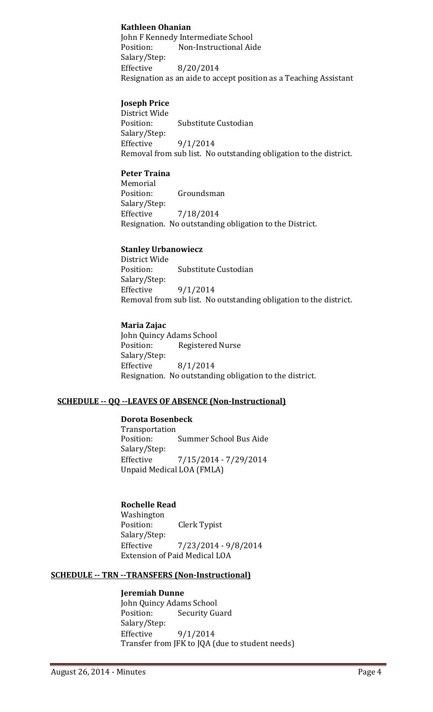#### **Kathleen Ohanian**

John F Kennedy Intermediate School Position: Non-Instructional Aide Salary/Step: Effective  $8/20/2014$ Resignation as an aide to accept position as a Teaching Assistant

#### **Joseph Price**

District Wide Position: Substitute Custodian Salary/Step: Effective  $9/1/2014$ Removal from sub list. No outstanding obligation to the district.

#### **Peter Traina**

 Memorial Position: Groundsman Salary/Step: Effective 7/18/2014 Resignation. No outstanding obligation to the District.

#### **Stanley Urbanowiecz**

District Wide Position: Substitute Custodian Salary/Step: Effective  $9/1/2014$ Removal from sub list. No outstanding obligation to the district.

#### **Maria Zajac**

John Quincy Adams School Position: Registered Nurse Salary/Step: Effective  $8/1/2014$ Resignation. No outstanding obligation to the district.

#### **SCHEDULE ‐‐ QQ ‐‐LEAVES OF ABSENCE (Non‐Instructional)**

#### **Dorota Bosenbeck**

 Transportation Position: Summer School Bus Aide Salary/Step: Effective  $7/15/2014 - 7/29/2014$ Unpaid Medical LOA (FMLA)

#### **Rochelle Read**

 Washington Position: Clerk Typist Salary/Step: Effective 7/23/2014 - 9/8/2014 Extension of Paid Medical LOA

#### **SCHEDULE ‐‐ TRN ‐‐TRANSFERS (Non‐Instructional)**

#### **Jeremiah Dunne**

John Quincy Adams School Position: Security Guard Salary/Step: Effective  $9/1/2014$ Transfer from JFK to JQA (due to student needs)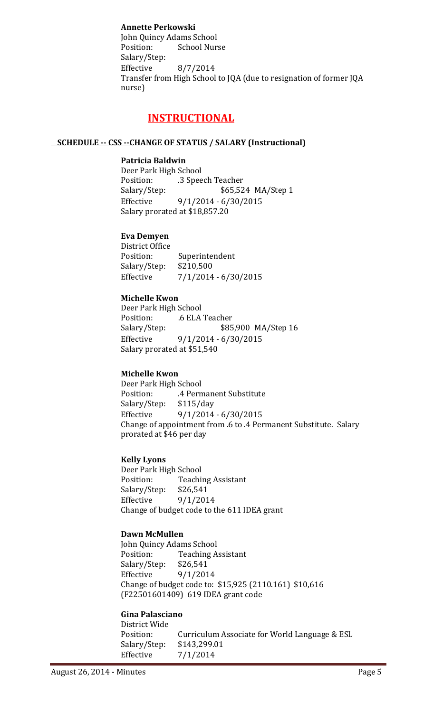#### **Annette Perkowski**

John Quincy Adams School Position: School Nurse Salary/Step: Effective  $8/7/2014$ Transfer from High School to JQA (due to resignation of former JQA nurse) 

# **INSTRUCTIONAL**

#### **SCHEDULE ‐‐ CSS ‐‐CHANGE OF STATUS / SALARY (Instructional)**

#### **Patricia Baldwin**

Deer Park High School Position: .3 Speech Teacher Salary/Step: \$65,524 MA/Step 1 Effective  $9/1/2014 - 6/30/2015$ Salary prorated at \$18,857.20

#### **Eva Demyen**

District Office Position: Superintendent Salary/Step: \$210,500 Effective  $7/1/2014 - 6/30/2015$ 

#### **Michelle Kwon**

Deer Park High School Position: .6 ELA Teacher Salary/Step: \$85,900 MA/Step 16 Effective  $9/1/2014 - 6/30/2015$ Salary prorated at \$51,540

#### **Michelle Kwon**

Deer Park High School Position: . 4 Permanent Substitute Salary/Step: \$115/day Effective  $9/1/2014 - 6/30/2015$ Change of appointment from .6 to .4 Permanent Substitute. Salary prorated at \$46 per day

#### **Kelly Lyons**

Deer Park High School Position: Teaching Assistant Salary/Step: \$26,541 Effective  $9/1/2014$ Change of budget code to the 611 IDEA grant

#### **Dawn McMullen**

John Quincy Adams School Position: Teaching Assistant Salary/Step: \$26,541 Effective  $9/1/2014$ Change of budget code to: \$15,925 (2110.161) \$10,616 (F22501601409) 619 IDEA grant code

#### **Gina Palasciano**

District Wide Position: Curriculum Associate for World Language & ESL Salary/Step: \$143,299.01 Effective  $7/1/2014$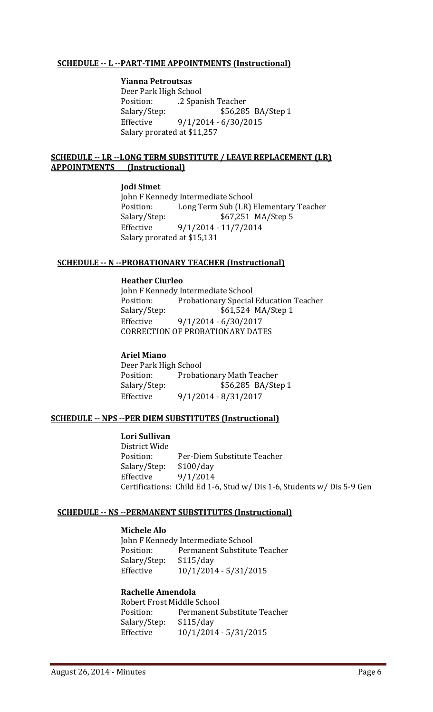#### **SCHEDULE ‐‐ L ‐‐PART‐TIME APPOINTMENTS (Instructional)**

#### **Yianna Petroutsas**

Deer Park High School Position: .2 Spanish Teacher Salary/Step: \$56,285 BA/Step 1 Effective  $9/1/2014 - 6/30/2015$ Salary prorated at \$11,257

#### **SCHEDULE** -- LR --LONG TERM SUBSTITUTE / LEAVE REPLACEMENT (LR) **APPOINTMENTS (Instructional)**

#### **Jodi Simet**

John F Kennedy Intermediate School Position: Long Term Sub (LR) Elementary Teacher Salary/Step: \$67,251 MA/Step 5 Effective 9/1/2014 - 11/7/2014 Salary prorated at \$15,131

#### **SCHEDULE ‐‐ N ‐‐PROBATIONARY TEACHER (Instructional)**

#### **Heather Ciurleo**

John F Kennedy Intermediate School Position: Probationary Special Education Teacher Salary/Step:  $$61,524 \text{ MA}/\text{Step 1}$ Effective 9/1/2014 - 6/30/2017 CORRECTION OF PROBATIONARY DATES

#### **Ariel Miano**

Deer Park High School Position: Probationary Math Teacher Salary/Step: \$56,285 BA/Step 1 Effective 9/1/2014 - 8/31/2017

#### **SCHEDULE ‐‐ NPS ‐‐PER DIEM SUBSTITUTES (Instructional)**

#### **Lori Sullivan**

District Wide Position: Per-Diem Substitute Teacher Salary/Step: \$100/day Effective  $9/1/2014$ Certifications: Child Ed 1-6, Stud w/ Dis 1-6, Students w/ Dis 5-9 Gen

#### **SCHEDULE ‐‐ NS ‐‐PERMANENT SUBSTITUTES (Instructional)**

#### **Michele Alo**

John F Kennedy Intermediate School Position: Permanent Substitute Teacher Salary/Step: \$115/day Effective  $10/1/2014 - 5/31/2015$ 

#### **Rachelle Amendola**

Robert Frost Middle School Position: Permanent Substitute Teacher Salary/Step: \$115/day Effective  $10/1/2014 - 5/31/2015$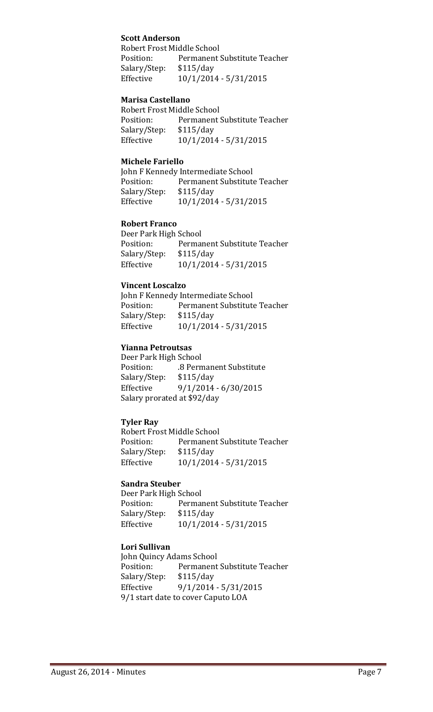#### **Scott Anderson**

Robert Frost Middle School Position: Permanent Substitute Teacher Salary/Step: \$115/day Effective  $10/1/2014 - 5/31/2015$ 

#### **Marisa Castellano**

Robert Frost Middle School Position: Permanent Substitute Teacher Salary/Step: \$115/day Effective  $10/1/2014 - 5/31/2015$ 

#### **Michele Fariello**

John F Kennedy Intermediate School Position: Permanent Substitute Teacher Salary/Step: \$115/day Effective  $10/1/2014 - 5/31/2015$ 

#### **Robert Franco**

Deer Park High School Position: Permanent Substitute Teacher Salary/Step: \$115/day Effective  $10/1/2014 - 5/31/2015$ 

#### **Vincent Loscalzo**

John F Kennedy Intermediate School Position: Permanent Substitute Teacher Salary/Step: \$115/day Effective  $10/1/2014 - 5/31/2015$ 

#### **Yianna Petroutsas**

Deer Park High School Position: .8 Permanent Substitute Salary/Step: \$115/day Effective  $9/1/2014 - 6/30/2015$ Salary prorated at \$92/day

#### **Tyler Ray**

Robert Frost Middle School Position: Permanent Substitute Teacher Salary/Step: \$115/day Effective  $10/1/2014 - 5/31/2015$ 

#### **Sandra Steuber**

Deer Park High School Position: Permanent Substitute Teacher Salary/Step: \$115/day Effective  $10/1/2014 - 5/31/2015$ 

#### **Lori Sullivan**

John Quincy Adams School Position: Permanent Substitute Teacher Salary/Step: \$115/day Effective  $9/1/2014 - 5/31/2015$ 9/1 start date to cover Caputo LOA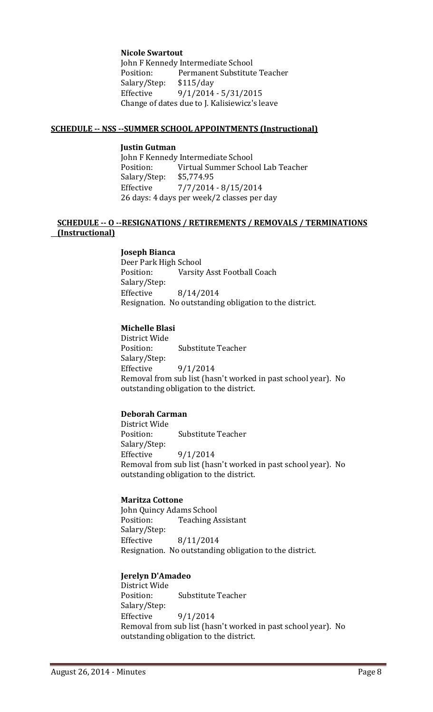**Nicole Swartout**

John F Kennedy Intermediate School Position: Permanent Substitute Teacher Salary/Step: \$115/day Effective  $9/1/2014 - 5/31/2015$ Change of dates due to J. Kalisiewicz's leave

#### **SCHEDULE ‐‐ NSS ‐‐SUMMER SCHOOL APPOINTMENTS (Instructional)**

#### **Justin Gutman**

John F Kennedy Intermediate School Position: Virtual Summer School Lab Teacher Salary/Step: \$5,774.95 Effective  $\frac{7}{7}{2014 - 8}{15}{2014}$ 26 days: 4 days per week/2 classes per day

#### **SCHEDULE ‐‐ O ‐‐RESIGNATIONS / RETIREMENTS / REMOVALS / TERMINATIONS (Instructional)**

**Joseph Bianca** Deer Park High School Position: Varsity Asst Football Coach Salary/Step: Effective 8/14/2014 Resignation. No outstanding obligation to the district.

#### **Michelle Blasi**

District Wide Position: Substitute Teacher Salary/Step: Effective  $9/1/2014$ Removal from sub list (hasn't worked in past school year). No outstanding obligation to the district.

#### **Deborah Carman**

District Wide Position: Substitute Teacher Salary/Step: Effective  $9/1/2014$ Removal from sub list (hasn't worked in past school year). No outstanding obligation to the district.

#### **Maritza Cottone**

John Quincy Adams School Position: Teaching Assistant Salary/Step: Effective 8/11/2014 Resignation. No outstanding obligation to the district.

#### **Jerelyn D'Amadeo**

District Wide Position: Substitute Teacher Salary/Step: Effective  $9/1/2014$ Removal from sub list (hasn't worked in past school year). No outstanding obligation to the district.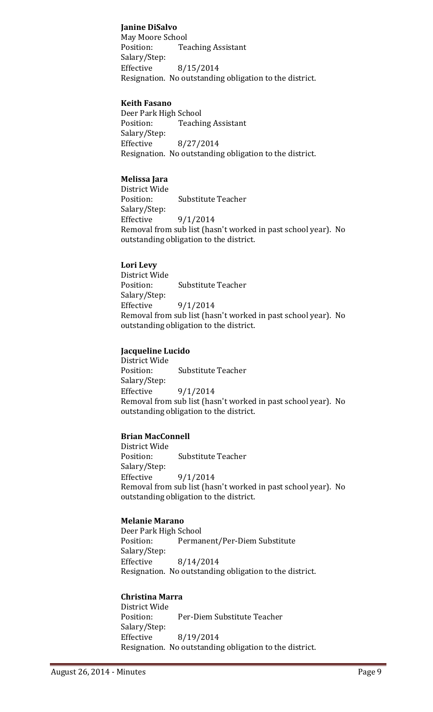#### **Janine DiSalvo**

May Moore School Position: Teaching Assistant Salary/Step: Effective  $8/15/2014$ Resignation. No outstanding obligation to the district.

#### **Keith Fasano**

Deer Park High School Position: Teaching Assistant Salary/Step: Effective 8/27/2014 Resignation. No outstanding obligation to the district.

#### **Melissa Jara**

District Wide Position: Substitute Teacher Salary/Step: Effective  $9/1/2014$ Removal from sub list (hasn't worked in past school year). No outstanding obligation to the district.

#### **Lori Levy**

District Wide Position: Substitute Teacher Salary/Step: Effective  $9/1/2014$ Removal from sub list (hasn't worked in past school year). No outstanding obligation to the district.

#### **Jacqueline Lucido**

District Wide Position: Substitute Teacher Salary/Step: Effective  $9/1/2014$ Removal from sub list (hasn't worked in past school year). No outstanding obligation to the district.

#### **Brian MacConnell**

District Wide Position: Substitute Teacher Salary/Step: Effective  $9/1/2014$ Removal from sub list (hasn't worked in past school year). No outstanding obligation to the district.

#### **Melanie Marano**

Deer Park High School Position: Permanent/Per-Diem Substitute Salary/Step: Effective 8/14/2014 Resignation. No outstanding obligation to the district.

# **Christina Marra**

District Wide Position: Per-Diem Substitute Teacher Salary/Step: Effective 8/19/2014 Resignation. No outstanding obligation to the district.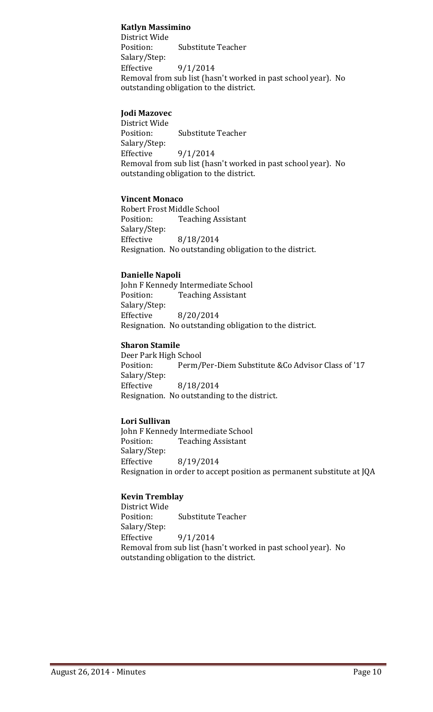#### **Katlyn Massimino**

District Wide Position: Substitute Teacher Salary/Step: Effective  $9/1/2014$ Removal from sub list (hasn't worked in past school year). No outstanding obligation to the district.

#### **Jodi Mazovec**

District Wide Position: Substitute Teacher Salary/Step: Effective  $9/1/2014$ Removal from sub list (hasn't worked in past school year). No outstanding obligation to the district.

#### **Vincent Monaco**

Robert Frost Middle School Position: Teaching Assistant Salary/Step: Effective 8/18/2014 Resignation. No outstanding obligation to the district.

#### **Danielle Napoli**

John F Kennedy Intermediate School Position: Teaching Assistant Salary/Step: Effective 8/20/2014 Resignation. No outstanding obligation to the district.

#### **Sharon Stamile**

Deer Park High School Position: Perm/Per-Diem Substitute & Co Advisor Class of '17 Salary/Step: Effective 8/18/2014 Resignation. No outstanding to the district.

#### **Lori Sullivan**

John F Kennedy Intermediate School Position: Teaching Assistant Salary/Step: Effective  $8/19/2014$ Resignation in order to accept position as permanent substitute at JQA

#### **Kevin Tremblay**

District Wide Position: Substitute Teacher Salary/Step: Effective  $9/1/2014$ Removal from sub list (hasn't worked in past school year). No outstanding obligation to the district.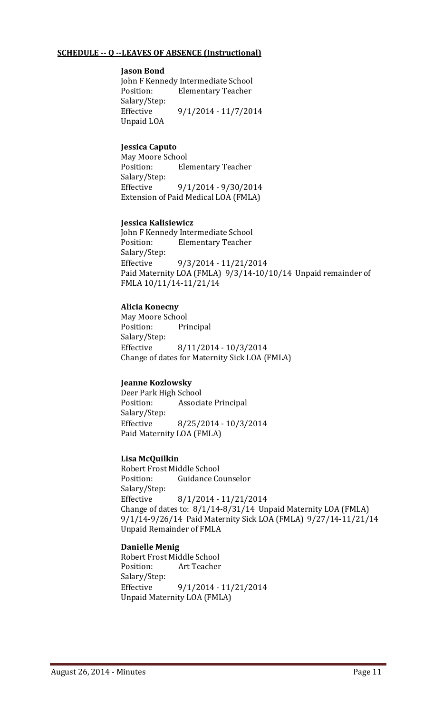#### **SCHEDULE ‐‐ Q ‐‐LEAVES OF ABSENCE (Instructional)**

#### **Jason Bond**

John F Kennedy Intermediate School Position: Elementary Teacher Salary/Step: Effective 9/1/2014 - 11/7/2014 Unpaid LOA

#### **Jessica Caputo**

May Moore School Position: Elementary Teacher Salary/Step: Effective 9/1/2014 - 9/30/2014 Extension of Paid Medical LOA (FMLA)

#### **Jessica Kalisiewicz**

John F Kennedy Intermediate School Position: Elementary Teacher Salary/Step: Effective 9/3/2014 - 11/21/2014 Paid Maternity LOA (FMLA) 9/3/14-10/10/14 Unpaid remainder of FMLA 10/11/14‐11/21/14 

#### **Alicia Konecny**

May Moore School Position: Principal Salary/Step: Effective 8/11/2014 - 10/3/2014 Change of dates for Maternity Sick LOA (FMLA)

#### **Jeanne Kozlowsky**

Deer Park High School Position: Associate Principal Salary/Step: Effective 8/25/2014 - 10/3/2014 Paid Maternity LOA (FMLA)

#### **Lisa McQuilkin**

Robert Frost Middle School Position: Guidance Counselor Salary/Step: Effective 8/1/2014 - 11/21/2014 Change of dates to:  $8/1/14 - 8/31/14$  Unpaid Maternity LOA (FMLA) 9/1/14-9/26/14 Paid Maternity Sick LOA (FMLA) 9/27/14-11/21/14 Unpaid Remainder of FMLA

#### **Danielle Menig**

Robert Frost Middle School Position: Art Teacher Salary/Step: Effective 9/1/2014 - 11/21/2014 Unpaid Maternity LOA (FMLA)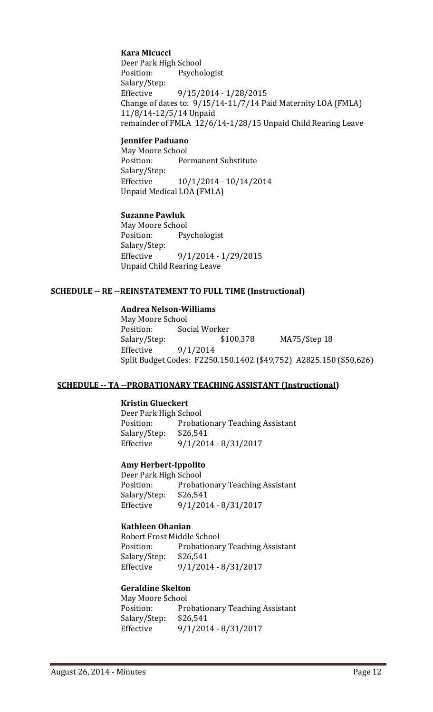#### **Kara Micucci**

Deer Park High School Position: Psychologist Salary/Step: Effective 9/15/2014 - 1/28/2015 Change of dates to:  $9/15/14-11/7/14$  Paid Maternity LOA (FMLA) 11/8/14‐12/5/14 Unpaid remainder of FMLA 12/6/14-1/28/15 Unpaid Child Rearing Leave

#### **Jennifer Paduano**

May Moore School Position: Permanent Substitute Salary/Step: Effective  $10/1/2014 - 10/14/2014$ Unpaid Medical LOA (FMLA)

#### **Suzanne Pawluk**

May Moore School Position: Psychologist Salary/Step: Effective 9/1/2014 - 1/29/2015 Unpaid Child Rearing Leave

#### **SCHEDULE ‐‐ RE ‐‐REINSTATEMENT TO FULL TIME (Instructional)**

#### **Andrea Nelson‐Williams**

May Moore School Position: Social Worker Salary/Step: \$100,378 MA75/Step 18 Effective  $9/1/2014$ Split Budget Codes: F2250.150.1402 (\$49,752) A2825.150 (\$50,626)

#### **SCHEDULE ‐‐ TA ‐‐PROBATIONARY TEACHING ASSISTANT (Instructional)**

#### **Kristin Glueckert**

Deer Park High School Position: Probationary Teaching Assistant Salary/Step: \$26,541 Effective 9/1/2014 - 8/31/2017

#### **Amy Herbert‐Ippolito**

Deer Park High School Position: Probationary Teaching Assistant Salary/Step: \$26,541 Effective 9/1/2014 - 8/31/2017

#### **Kathleen Ohanian**

Robert Frost Middle School Position: Probationary Teaching Assistant Salary/Step: \$26,541 Effective 9/1/2014 - 8/31/2017

#### **Geraldine Skelton**

May Moore School Position: Probationary Teaching Assistant Salary/Step: \$26,541 Effective 9/1/2014 - 8/31/2017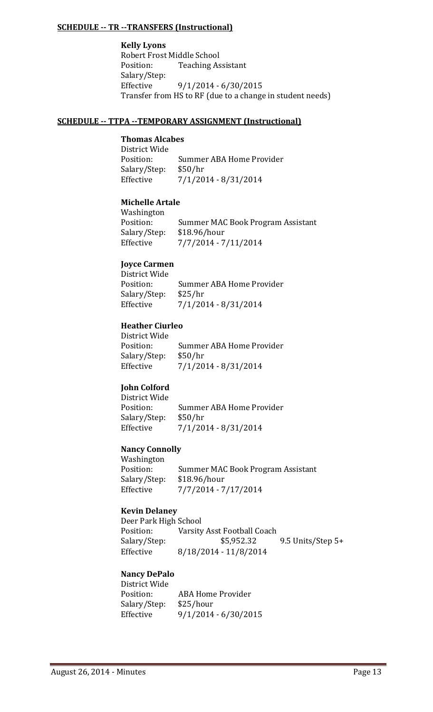#### **SCHEDULE ‐‐ TR ‐‐TRANSFERS (Instructional)**

**Kelly Lyons** Robert Frost Middle School Position: Teaching Assistant Salary/Step: Effective 9/1/2014 - 6/30/2015 Transfer from HS to RF (due to a change in student needs)

#### **SCHEDULE ‐‐ TTPA ‐‐TEMPORARY ASSIGNMENT (Instructional)**

#### **Thomas Alcabes**

District Wide Position: Summer ABA Home Provider Salary/Step: \$50/hr Effective  $\frac{7}{1/2014} - \frac{8}{31/2014}$ 

#### **Michelle Artale**

 Washington Position: Summer MAC Book Program Assistant Salary/Step: \$18.96/hour Effective 7/7/2014 - 7/11/2014

#### **Joyce Carmen** District Wide

| DISTRICE WILLE |                          |
|----------------|--------------------------|
| Position:      | Summer ABA Home Provider |
| Salary/Step:   | \$25/hr                  |
| Effective      | 7/1/2014 - 8/31/2014     |

#### **Heather Ciurleo**  $Diotri \atop \sim M^{1:1}$

| District Wide |                          |
|---------------|--------------------------|
| Position:     | Summer ABA Home Provider |
| Salary/Step:  | \$50/hr                  |
| Effective     | 7/1/2014 - 8/31/2014     |

# **John Colford**

District Wide Position: Summer ABA Home Provider Salary/Step: \$50/hr Effective  $\frac{7}{1/2014} - \frac{8}{31/2014}$ 

#### **Nancy Connolly**

 Washington Position: Summer MAC Book Program Assistant Salary/Step: \$18.96/hour Effective 7/7/2014 - 7/17/2014

#### **Kevin Delaney**

Deer Park High School Position: Varsity Asst Football Coach Salary/Step:  $$5,952.32$  9.5 Units/Step 5+ Effective 8/18/2014 - 11/8/2014

#### **Nancy DePalo**

| District Wide |                        |
|---------------|------------------------|
| Position:     | ABA Home Provider      |
| Salary/Step:  | \$25/hour              |
| Effective     | $9/1/2014 - 6/30/2015$ |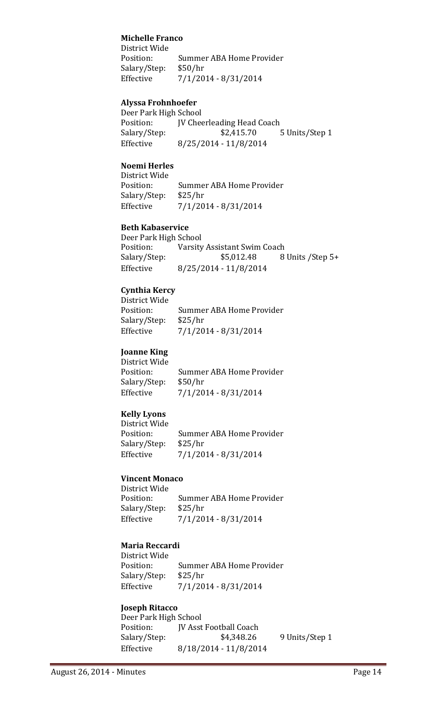#### **Michelle Franco**

District Wide Position: Summer ABA Home Provider Salary/Step: \$50/hr Effective  $\frac{7}{1/2014} - \frac{8}{31/2014}$ 

#### **Alyssa Frohnhoefer**

Deer Park High School Position: **JV** Cheerleading Head Coach Salary/Step:  $$2,415.70$  5 Units/Step 1 Effective 8/25/2014 - 11/8/2014

#### **Noemi Herles**

District Wide Position: Summer ABA Home Provider Salary/Step: \$25/hr Effective  $7/1/2014 - 8/31/2014$ 

#### **Beth Kabaservice**

Deer Park High School Position: Varsity Assistant Swim Coach Salary/Step:  $$5,012.48$  8 Units /Step 5+ Effective 8/25/2014 - 11/8/2014

#### **Cynthia Kercy**

District Wide Position: Summer ABA Home Provider Salary/Step: \$25/hr Effective  $\frac{7}{1/2014} - \frac{8}{31/2014}$ 

#### **Joanne King**

District Wide Position: Summer ABA Home Provider Salary/Step: \$50/hr Effective  $7/1/2014 - 8/31/2014$ 

#### **Kelly Lyons**

District Wide Position: Summer ABA Home Provider Salary/Step: \$25/hr Effective  $\frac{7}{1/2014} - \frac{8}{31/2014}$ 

#### **Vincent Monaco**

District Wide Position: Summer ABA Home Provider Salary/Step: \$25/hr Effective  $\frac{7}{1/2014} - \frac{8}{31/2014}$ 

#### **Maria Reccardi**

District Wide Position: Summer ABA Home Provider Salary/Step: \$25/hr Effective  $\frac{7}{1/2014} - \frac{8}{31/2014}$ 

# **Joseph Ritacco**

| Deer Park High School |                        |                |
|-----------------------|------------------------|----------------|
| Position:             | IV Asst Football Coach |                |
| Salary/Step:          | \$4,348.26             | 9 Units/Step 1 |
| Effective             | 8/18/2014 - 11/8/2014  |                |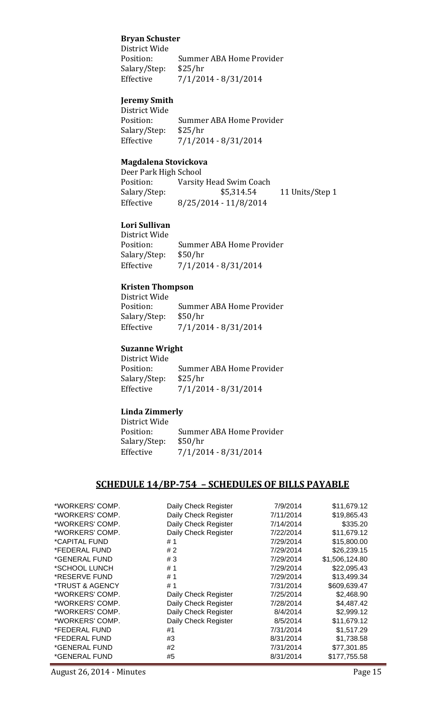#### **Bryan Schuster**

District Wide Position: Summer ABA Home Provider Salary/Step: \$25/hr Effective  $7/1/2014 - 8/31/2014$ 

#### **Jeremy Smith**

District Wide Position: Summer ABA Home Provider Salary/Step: \$25/hr Effective  $7/1/2014 - 8/31/2014$ 

#### **Magdalena Stovickova**

Deer Park High School Position: Varsity Head Swim Coach Salary/Step:  $$5,314.54$  11 Units/Step 1 Effective 8/25/2014 - 11/8/2014

#### **Lori Sullivan**

District Wide Position: Summer ABA Home Provider Salary/Step: \$50/hr Effective  $\frac{7}{1/2014} - \frac{8}{31/2014}$ 

#### **Kristen Thompson**

District Wide Position: Summer ABA Home Provider Salary/Step: \$50/hr Effective  $\frac{7}{1/2014} - \frac{8}{31/2014}$ 

#### **Suzanne Wright**

District Wide Position: Summer ABA Home Provider Salary/Step: \$25/hr Effective  $\frac{7}{1/2014} - \frac{8}{31/2014}$ 

#### **Linda Zimmerly**

District Wide Position: Summer ABA Home Provider Salary/Step: \$50/hr Effective  $7/1/2014 - 8/31/2014$ 

#### **SCHEDULE 14/BP‐754 – SCHEDULES OF BILLS PAYABLE**

| *WORKERS' COMP. | Daily Check Register | 7/9/2014  | \$11,679.12    |
|-----------------|----------------------|-----------|----------------|
| *WORKERS' COMP. | Daily Check Register | 7/11/2014 | \$19,865.43    |
| *WORKERS' COMP. | Daily Check Register | 7/14/2014 | \$335.20       |
| *WORKERS' COMP. | Daily Check Register | 7/22/2014 | \$11,679.12    |
| *CAPITAL FUND   | # 1                  | 7/29/2014 | \$15,800.00    |
| *FEDERAL FUND   | #2                   | 7/29/2014 | \$26,239.15    |
| *GENERAL FUND   | #3                   | 7/29/2014 | \$1,506,124.80 |
| *SCHOOL LUNCH   | #1                   | 7/29/2014 | \$22,095.43    |
| *RESERVE FUND   | #1                   | 7/29/2014 | \$13,499.34    |
| *TRUST & AGENCY | #1                   | 7/31/2014 | \$609,639.47   |
| *WORKERS' COMP. | Daily Check Register | 7/25/2014 | \$2,468.90     |
| *WORKERS' COMP. | Daily Check Register | 7/28/2014 | \$4,487.42     |
| *WORKERS' COMP. | Daily Check Register | 8/4/2014  | \$2,999.12     |
| *WORKERS' COMP. | Daily Check Register | 8/5/2014  | \$11,679.12    |
| *FEDERAL FUND   | #1                   | 7/31/2014 | \$1,517.29     |
| *FEDERAL FUND   | #3                   | 8/31/2014 | \$1,738.58     |
| *GENERAL FUND   | #2                   | 7/31/2014 | \$77,301.85    |
| *GENERAL FUND   | #5                   | 8/31/2014 | \$177,755.58   |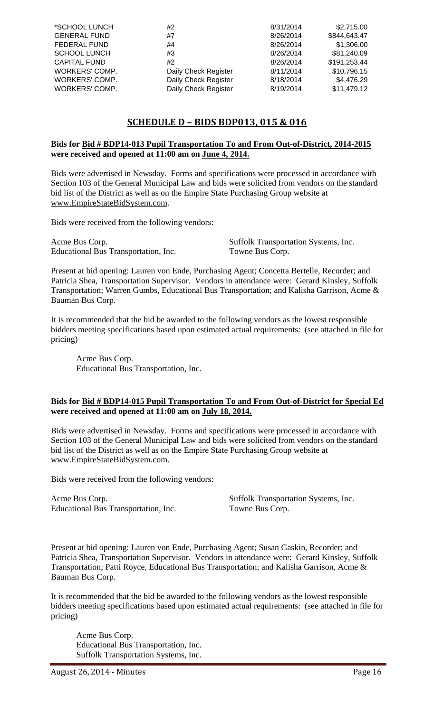| *SCHOOL LUNCH       | #2                   | 8/31/2014 | \$2,715.00   |
|---------------------|----------------------|-----------|--------------|
|                     |                      |           |              |
| <b>GENERAL FUND</b> | #7                   | 8/26/2014 | \$844,643.47 |
| <b>FEDERAL FUND</b> | #4                   | 8/26/2014 | \$1,306.00   |
| <b>SCHOOL LUNCH</b> | #3                   | 8/26/2014 | \$81,240.09  |
| <b>CAPITAL FUND</b> | #2                   | 8/26/2014 | \$191,253.44 |
| WORKERS' COMP.      | Daily Check Register | 8/11/2014 | \$10,796.15  |
| WORKERS' COMP.      | Daily Check Register | 8/18/2014 | \$4,476.29   |
| WORKERS' COMP.      | Daily Check Register | 8/19/2014 | \$11,479.12  |

# **SCHEDULE D – BIDS BDP013, 015 & 016**

#### **Bids for Bid # BDP14-013 Pupil Transportation To and From Out-of-District, 2014-2015 were received and opened at 11:00 am on June 4, 2014.**

Bids were advertised in Newsday. Forms and specifications were processed in accordance with Section 103 of the General Municipal Law and bids were solicited from vendors on the standard bid list of the District as well as on the Empire State Purchasing Group website at www.EmpireStateBidSystem.com.

Bids were received from the following vendors:

Acme Bus Corp. Suffolk Transportation Systems, Inc. Educational Bus Transportation, Inc. Towne Bus Corp.

Present at bid opening: Lauren von Ende, Purchasing Agent; Concetta Bertelle, Recorder; and Patricia Shea, Transportation Supervisor. Vendors in attendance were: Gerard Kinsley, Suffolk Transportation; Warren Gumbs, Educational Bus Transportation; and Kalisha Garrison, Acme & Bauman Bus Corp.

It is recommended that the bid be awarded to the following vendors as the lowest responsible bidders meeting specifications based upon estimated actual requirements: (see attached in file for pricing)

Acme Bus Corp. Educational Bus Transportation, Inc.

#### **Bids for Bid # BDP14-015 Pupil Transportation To and From Out-of-District for Special Ed were received and opened at 11:00 am on July 18, 2014.**

Bids were advertised in Newsday. Forms and specifications were processed in accordance with Section 103 of the General Municipal Law and bids were solicited from vendors on the standard bid list of the District as well as on the Empire State Purchasing Group website at www.EmpireStateBidSystem.com.

Bids were received from the following vendors:

Acme Bus Corp. Suffolk Transportation Systems, Inc. Educational Bus Transportation, Inc. Towne Bus Corp.

Present at bid opening: Lauren von Ende, Purchasing Agent; Susan Gaskin, Recorder; and Patricia Shea, Transportation Supervisor. Vendors in attendance were: Gerard Kinsley, Suffolk Transportation; Patti Royce, Educational Bus Transportation; and Kalisha Garrison, Acme & Bauman Bus Corp.

It is recommended that the bid be awarded to the following vendors as the lowest responsible bidders meeting specifications based upon estimated actual requirements: (see attached in file for pricing)

Acme Bus Corp. Educational Bus Transportation, Inc. Suffolk Transportation Systems, Inc.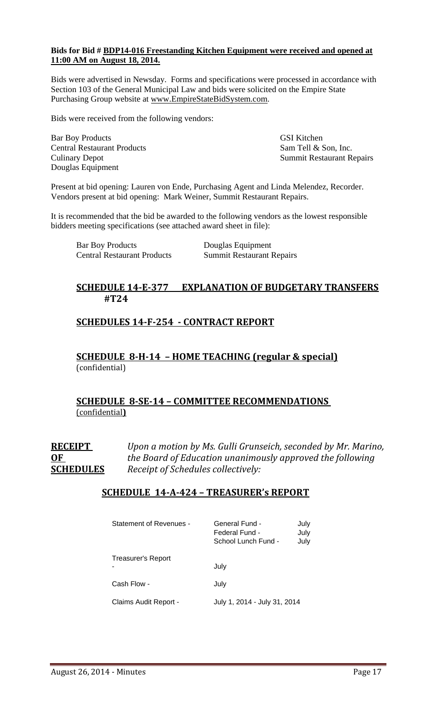#### **Bids for Bid # BDP14-016 Freestanding Kitchen Equipment were received and opened at 11:00 AM on August 18, 2014.**

Bids were advertised in Newsday. Forms and specifications were processed in accordance with Section 103 of the General Municipal Law and bids were solicited on the Empire State Purchasing Group website at www.EmpireStateBidSystem.com.

Bids were received from the following vendors:

Bar Boy Products GSI Kitchen Central Restaurant Products Sam Tell & Son, Inc. Douglas Equipment

Culinary Depot Summit Restaurant Repairs

Present at bid opening: Lauren von Ende, Purchasing Agent and Linda Melendez, Recorder. Vendors present at bid opening: Mark Weiner, Summit Restaurant Repairs.

It is recommended that the bid be awarded to the following vendors as the lowest responsible bidders meeting specifications (see attached award sheet in file):

| <b>Bar Boy Products</b>            | Douglas Equipment                |
|------------------------------------|----------------------------------|
| <b>Central Restaurant Products</b> | <b>Summit Restaurant Repairs</b> |

# **SCHEDULE 14‐E‐377 EXPLANATION OF BUDGETARY TRANSFERS #T24**

# **SCHEDULES 14‐F‐254 ‐ CONTRACT REPORT**

**SCHEDULE 8‐H‐14 – HOME TEACHING (regular & special)** (confidential) 

# **SCHEDULE 8‐SE‐14 – COMMITTEE RECOMMENDATIONS** (confidential**)**

**RECEIPT** *Upon a motion by Ms. Gulli Grunseich, seconded by Mr. Marino,* **OF** *the Board of Education unanimously approved the following* **SCHEDULES** *Receipt of Schedules collectively:*

### **SCHEDULE 14‐A‐424 – TREASURER's REPORT**

| Statement of Revenues -   | General Fund -<br>July<br>Federal Fund -<br>July<br>School Lunch Fund -<br>July |
|---------------------------|---------------------------------------------------------------------------------|
| <b>Treasurer's Report</b> | July                                                                            |
| Cash Flow -               | July                                                                            |
| Claims Audit Report -     | July 1, 2014 - July 31, 2014                                                    |